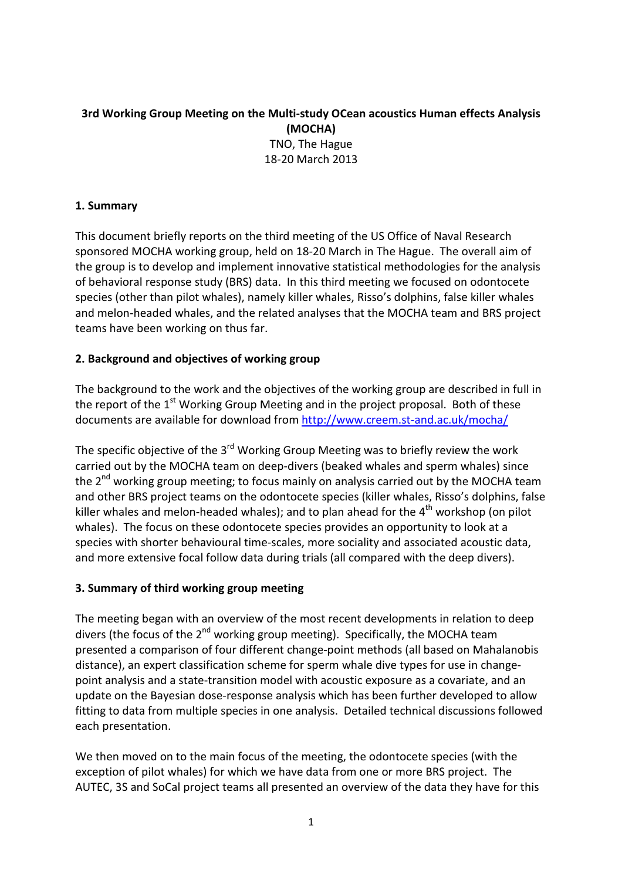# **3rd Working Group Meeting on the Multi-study OCean acoustics Human effects Analysis (MOCHA)** TNO, The Hague 18-20 March 2013

## **1. Summary**

This document briefly reports on the third meeting of the US Office of Naval Research sponsored MOCHA working group, held on 18-20 March in The Hague. The overall aim of the group is to develop and implement innovative statistical methodologies for the analysis of behavioral response study (BRS) data. In this third meeting we focused on odontocete species (other than pilot whales), namely killer whales, Risso's dolphins, false killer whales and melon-headed whales, and the related analyses that the MOCHA team and BRS project teams have been working on thus far.

### **2. Background and objectives of working group**

The background to the work and the objectives of the working group are described in full in the report of the  $1<sup>st</sup>$  Working Group Meeting and in the project proposal. Both of these documents are available for download from <http://www.creem.st-and.ac.uk/mocha/>

The specific objective of the  $3<sup>rd</sup>$  Working Group Meeting was to briefly review the work carried out by the MOCHA team on deep-divers (beaked whales and sperm whales) since the  $2^{nd}$  working group meeting; to focus mainly on analysis carried out by the MOCHA team and other BRS project teams on the odontocete species (killer whales, Risso's dolphins, false killer whales and melon-headed whales); and to plan ahead for the  $4<sup>th</sup>$  workshop (on pilot whales). The focus on these odontocete species provides an opportunity to look at a species with shorter behavioural time-scales, more sociality and associated acoustic data, and more extensive focal follow data during trials (all compared with the deep divers).

### **3. Summary of third working group meeting**

The meeting began with an overview of the most recent developments in relation to deep divers (the focus of the  $2^{nd}$  working group meeting). Specifically, the MOCHA team presented a comparison of four different change-point methods (all based on Mahalanobis distance), an expert classification scheme for sperm whale dive types for use in changepoint analysis and a state-transition model with acoustic exposure as a covariate, and an update on the Bayesian dose-response analysis which has been further developed to allow fitting to data from multiple species in one analysis. Detailed technical discussions followed each presentation.

We then moved on to the main focus of the meeting, the odontocete species (with the exception of pilot whales) for which we have data from one or more BRS project. The AUTEC, 3S and SoCal project teams all presented an overview of the data they have for this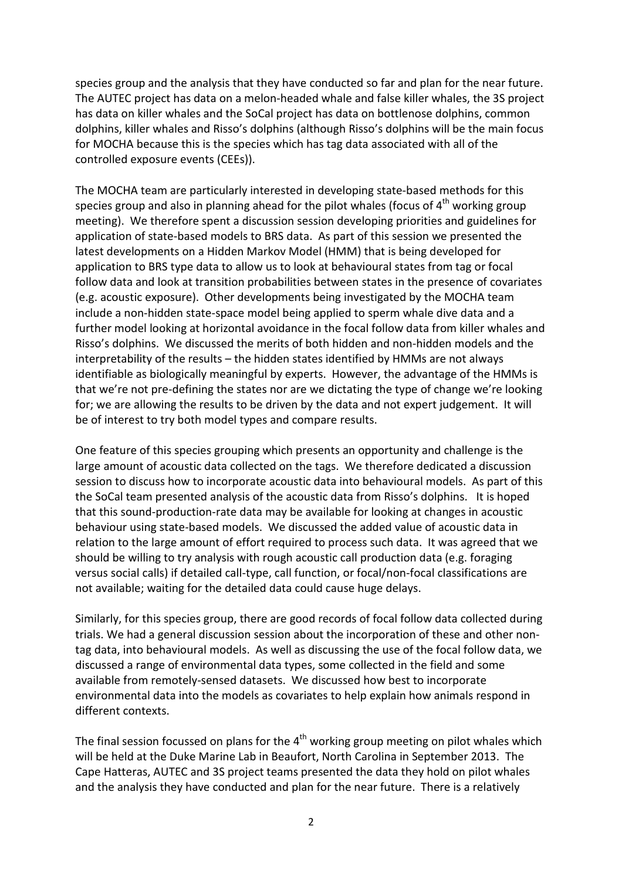species group and the analysis that they have conducted so far and plan for the near future. The AUTEC project has data on a melon-headed whale and false killer whales, the 3S project has data on killer whales and the SoCal project has data on bottlenose dolphins, common dolphins, killer whales and Risso's dolphins (although Risso's dolphins will be the main focus for MOCHA because this is the species which has tag data associated with all of the controlled exposure events (CEEs)).

The MOCHA team are particularly interested in developing state-based methods for this species group and also in planning ahead for the pilot whales (focus of  $4<sup>th</sup>$  working group meeting). We therefore spent a discussion session developing priorities and guidelines for application of state-based models to BRS data. As part of this session we presented the latest developments on a Hidden Markov Model (HMM) that is being developed for application to BRS type data to allow us to look at behavioural states from tag or focal follow data and look at transition probabilities between states in the presence of covariates (e.g. acoustic exposure). Other developments being investigated by the MOCHA team include a non-hidden state-space model being applied to sperm whale dive data and a further model looking at horizontal avoidance in the focal follow data from killer whales and Risso's dolphins. We discussed the merits of both hidden and non-hidden models and the interpretability of the results – the hidden states identified by HMMs are not always identifiable as biologically meaningful by experts. However, the advantage of the HMMs is that we're not pre-defining the states nor are we dictating the type of change we're looking for; we are allowing the results to be driven by the data and not expert judgement. It will be of interest to try both model types and compare results.

One feature of this species grouping which presents an opportunity and challenge is the large amount of acoustic data collected on the tags. We therefore dedicated a discussion session to discuss how to incorporate acoustic data into behavioural models. As part of this the SoCal team presented analysis of the acoustic data from Risso's dolphins. It is hoped that this sound-production-rate data may be available for looking at changes in acoustic behaviour using state-based models. We discussed the added value of acoustic data in relation to the large amount of effort required to process such data. It was agreed that we should be willing to try analysis with rough acoustic call production data (e.g. foraging versus social calls) if detailed call-type, call function, or focal/non-focal classifications are not available; waiting for the detailed data could cause huge delays.

Similarly, for this species group, there are good records of focal follow data collected during trials. We had a general discussion session about the incorporation of these and other nontag data, into behavioural models. As well as discussing the use of the focal follow data, we discussed a range of environmental data types, some collected in the field and some available from remotely-sensed datasets. We discussed how best to incorporate environmental data into the models as covariates to help explain how animals respond in different contexts.

The final session focussed on plans for the  $4<sup>th</sup>$  working group meeting on pilot whales which will be held at the Duke Marine Lab in Beaufort, North Carolina in September 2013. The Cape Hatteras, AUTEC and 3S project teams presented the data they hold on pilot whales and the analysis they have conducted and plan for the near future. There is a relatively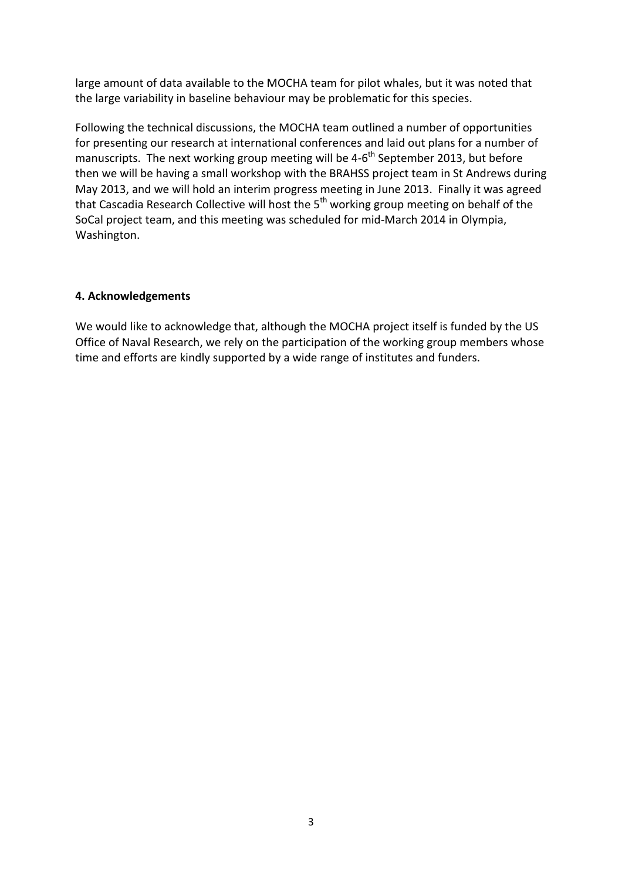large amount of data available to the MOCHA team for pilot whales, but it was noted that the large variability in baseline behaviour may be problematic for this species.

Following the technical discussions, the MOCHA team outlined a number of opportunities for presenting our research at international conferences and laid out plans for a number of manuscripts. The next working group meeting will be  $4-6<sup>th</sup>$  September 2013, but before then we will be having a small workshop with the BRAHSS project team in St Andrews during May 2013, and we will hold an interim progress meeting in June 2013. Finally it was agreed that Cascadia Research Collective will host the 5<sup>th</sup> working group meeting on behalf of the SoCal project team, and this meeting was scheduled for mid-March 2014 in Olympia, Washington.

#### **4. Acknowledgements**

We would like to acknowledge that, although the MOCHA project itself is funded by the US Office of Naval Research, we rely on the participation of the working group members whose time and efforts are kindly supported by a wide range of institutes and funders.